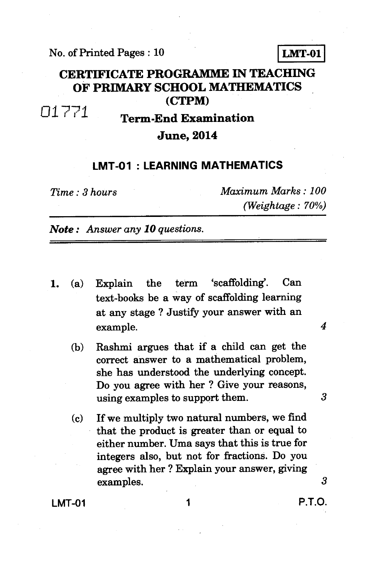No. of Printed Pages : 10 **LMT-01** 

#### **CERTIFICATE PROGRAMME IN TEACHING OF PRIMARY SCHOOL MATHEMATICS (CTPM)**

# 01771 **Term-End Examination**

#### **June, 2014**

#### **LMT-01 : LEARNING MATHEMATICS**

*Time : 3 hours Maximum Marks : 100 (Weightage : 70%)* 

*Note : Answer any 10 questions.* 

- 1. (a) Explain the term 'scaffolding'. Can text-books be a way of scaffolding learning at any stage ? Justify your answer with an example. *4* 
	- (b) Rashmi argues that if a child can get the correct answer to a mathematical problem, she has understood the underlying concept. Do you agree with her ? Give your reasons, using examples to support them. *3*
	- (c) If we multiply two natural numbers, we find that the product is greater than or equal to either number. Uma says that this is true for integers also, but not for fractions. Do you agree with her ? Explain your answer, giving examples. *3*

**LMT-01** 1 **1** P.T.O.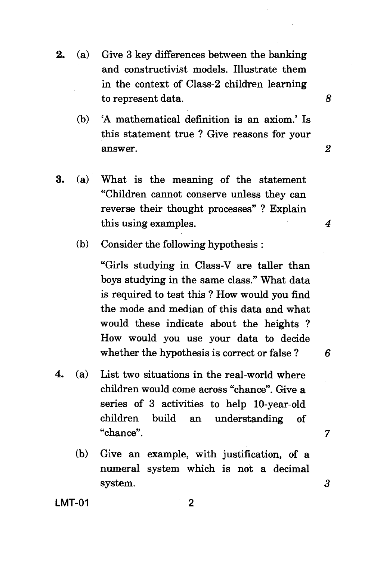- 2. (a) Give 3 key differences between the banking and constructivist models. Illustrate them in the context of Class-2 children learning to represent data.
	- (b) 'A mathematical definition is an axiom.' Is this statement true ? Give reasons for your answer. 2

8

- 3. (a) What is the meaning of the statement "Children cannot conserve unless they can reverse their thought processes" ? Explain this using examples. *4* 
	- (b) Consider the following hypothesis :

"Girls studying in Class-V are taller than boys studying in the same class." What data is required to test this ? How would you find the mode and median of this data and what would these indicate about the heights ? How would you use your data to decide whether the hypothesis is correct or false ? *6* 

- 4. (a) List two situations in the real-world where children would come across "chance". Give a series of 3 activities to help 10-year-old children build an understanding of "chance". 7
	- (b) Give an example, with justification, of a numeral system which is not a decimal system. 3

**LMT-01** 

 $\mathfrak{p}$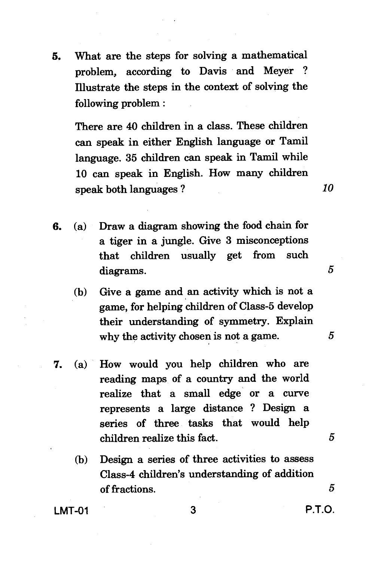**5. What are the steps for solving a mathematical problem, according to Davis and Meyer ? Illustrate the steps in the context of solving the following problem :** 

**There are 40 children in a class. These children can speak in either English language or Tamil language. 35 children can speak in Tamil while 10 can speak in English. How many children speak both languages ?** *10* 

- **6. (a) Draw a diagram showing the food chain for a tiger in a jungle. Give 3 misconceptions that children usually get from such diagrams. 5** 
	- **(b) Give a game and an activity which is not a game, for helping children of Class-5 develop their understanding of symmetry. Explain why the activity chosen is not a game. 5**
- **7. (a) How would you help children who are reading maps of a country and the world realize that a small edge or a curve represents a large distance ? Design a series of three tasks that would help children realize this fact.** *5* 
	- **(b) Design a series of three activities to assess Class-4 children's understanding of addition of fractions.** *5*

**LMT-01 3 P.T.O.**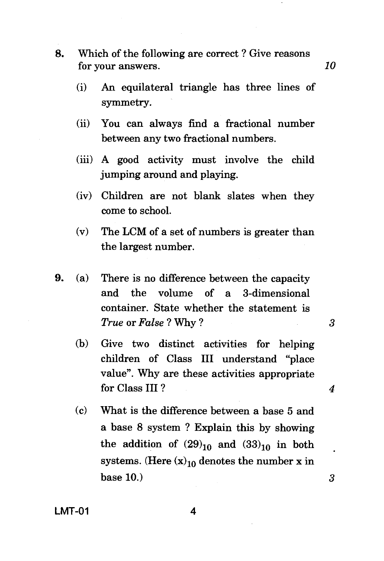- **8.** Which of the following are correct ? Give reasons for your answers. *10* 
	- (i) An equilateral triangle has three lines of symmetry.
	- (ii) You can always find a fractional number between any two fractional numbers.
	- (iii) A good activity must involve the child jumping around and playing.
	- (iv) Children are not blank slates when they come to school.
	- (v) The LCM of a set of numbers is greater than the largest number.
- **9.** (a) There is no difference between the capacity and the volume of a 3-dimensional container. State whether the statement is *True* or *False ?* Why ? **3** 
	- (b) Give two distinct activities for helping children of Class III understand "place value". Why are these activities appropriate for Class III ? *4*
	- (c) What is the difference between a base 5 and a base 8 system ? Explain this by showing the addition of  $(29)_{10}$  and  $(33)_{10}$  in both systems. (Here  $(x)_{10}$  denotes the number x in base 10.) *3*

 $\ddot{\phantom{0}}$ 

**LMT-01 4**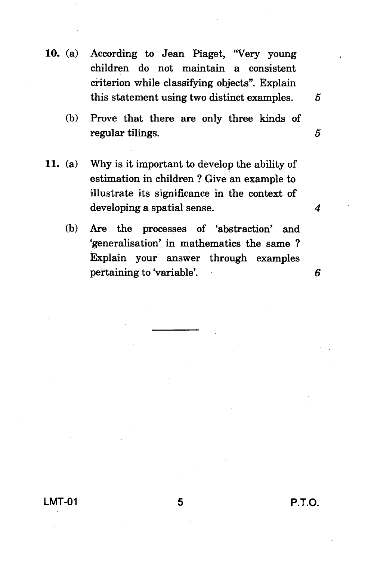- 10. (a) According to Jean Piaget, "Very young children do not maintain a consistent criterion while classifying objects". Explain this statement using two distinct examples. *5* 
	- (b) Prove that there are only three kinds of regular tilings. 5
- 11. (a) Why is it important to develop the ability of estimation in children ? Give an example to illustrate its significance in the context of developing a spatial sense. *4* 
	- (b) Are the processes of 'abstraction' and `generalisation' in mathematics the same ? Explain your answer through examples pertaining to 'variable'. *6*

**LMT-01 5 P.T.O.**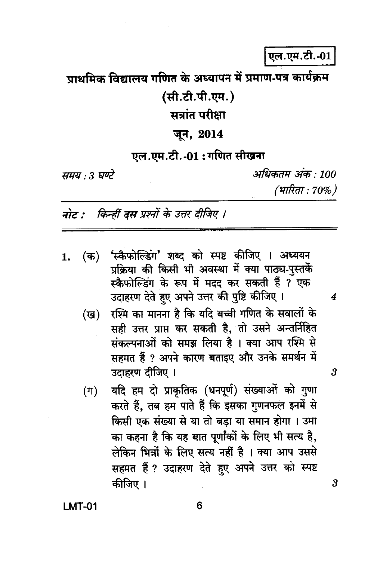एल.एम.टी.-01

## पाथमिक विद्यालय गणित के अध्यापन में प्रमाण-पत्र कार्यक्रम

## (सी.टी.पी.एम.)

# सत्रांत परीक्षा

### जून, 2014

#### एल.एम.टी.-01:गणित सीखना

समय : 3 घण्टे

अधिकतम अंक · 100 (भारिता : 70%)

 $\boldsymbol{4}$ 

3

 $\boldsymbol{3}$ 

नोट : किन्हीं दस प्रश्नों के उत्तर दीजिए ।

- (क) 'स्कैफोल्डिंग' शब्द को स्पष्ट कीजिए । अध्ययन 1. प्रक्रिया की किसी भी अवस्था में क्या पाठ्य-पस्तकें स्कैफोल्डिंग के रूप में मदद कर सकती हैं ? एक उदाहरण देते हुए अपने उत्तर की पुष्टि कीजिए ।
	- रश्मि का मानना है कि यदि बच्ची गणित के सवालों के (ख) सही उत्तर प्राप्त कर सकती है. तो उसने अन्तर्निहित संकल्पनाओं को समझ लिया है । क्या आप रश्मि से सहमत हैं ? अपने कारण बताइए और उनके समर्थन में उटाहरण टीजिए ।
	- यदि हम दो प्राकृतिक (धनपूर्ण) संख्याओं को गुणा  $(\pi)$ करते हैं, तब हम पाते हैं कि इसका गुणनफल इनमें से किसी एक संख्या से या तो बड़ा या समान होगा । उमा का कहना है कि यह बात पूर्णांकों के लिए भी सत्य है, लेकिन भिन्नों के लिए सत्य नहीं है । क्या आप उससे सहमत हैं ? उदाहरण देते हुए अपने उत्तर को स्पष्ट कीजिए ।

**LMT-01**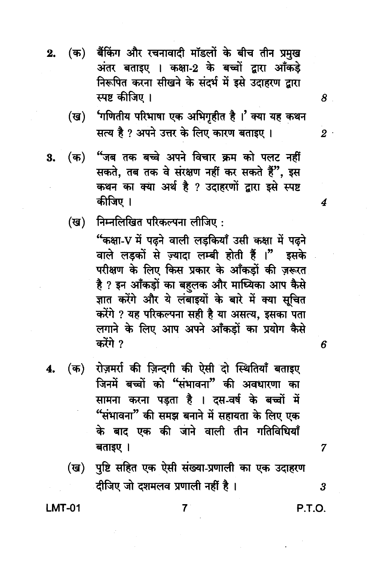- (क) बैंकिंग और रचनावादी मॉडलों के बीच तीन प्रमुख  $2.$ अंतर बताइए । कक्षा-2 के बच्चों द्वारा आँकड़े निरूपित करना सीखने के संदर्भ में इसे उदाहरण द्वारा स्पष्ट कीजिए ।
	- 'गणितीय परिभाषा एक अभिगृहीत है।' क्या यह कथन  $(\overline{g})$ सत्य है ? अपने उत्तर के लिए कारण बताइए ।
- "जब तक बच्चे अपने विचार क्रम को पलट नहीं 3.  $(\overline{a})$ सकते, तब तक वे संरक्षण नहीं कर सकते हैं", इस कथन का क्या अर्थ है ? उदाहरणों द्वारा इसे स्पष्ट कीजिए ।
	- निम्नलिखित परिकल्पना लीजिए: (ख)

"कक्षा-V में पढने वाली लडकियाँ उसी कक्षा में पढने वाले लड़कों से ज़्यादा लम्बी होती हैं ।" इसके परीक्षण के लिए किस प्रकार के आँकड़ों की ज़रूरत है ? इन आँकड़ों का बहलक और माध्यिका आप कैसे ज्ञात करेंगे और ये लंबाइयों के बारे में क्या सूचित करेंगे ? यह परिकल्पना सही है या असत्य, इसका पता लगाने के लिए आप अपने आँकड़ों का प्रयोग कैसे करेंगे ?

- रोज़मर्रा की ज़िन्दगी की ऐसी दो स्थितियाँ बताइए (क) 4. जिनमें बच्चों को "संभावना" की अवधारणा का सामना करना पड़ता है । दस-वर्ष के बच्चों में "संभावना" की समझ बनाने में सहायता के लिए एक के बाद एक की जाने वाली तीन गतिविधियाँ बताइए ।
	- पुष्टि सहित एक ऐसी संख्या-प्रणाली का एक उदाहरण (ख) दीजिए जो दशमलव प्रणाली नहीं है।

**LMT-01** 

7

P.T.O.

7

 $\overline{\mathbf{3}}$ 

 $\bm{8}$  .

 $2^{\circ}$ 

4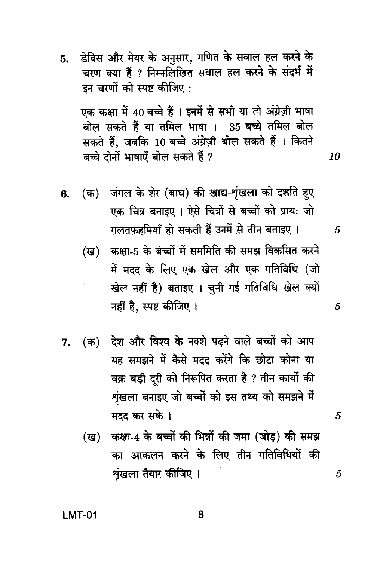डेविस और मेयर के अनुसार, गणित के सवाल हल करने के 5. चरण क्या हैं ? निम्नलिखित सवाल हल करने के संदर्भ में इन चरणों को स्पष्ट कीजिए :

एक कक्षा में 40 बच्चे हैं । इनमें से सभी या तो अंग्रेज़ी भाषा बोल सकते हैं या तमिल भाषा । 35 बच्चे तमिल बोल सकते हैं, जबकि 10 बच्चे अंग्रेज़ी बोल सकते हैं । कितने बच्चे दोनों भाषाएँ बोल सकते हैं ?

10

5

5

5

5

- (क) जंगल के शेर (बाघ) की खाद्य-शृंखला को दर्शाते हुए 6. एक चित्र बनाइए । ऐसे चित्रों से बच्चों को प्रायः जो गलतफहमियाँ हो सकती हैं उनमें से तीन बताइए।
	- कक्षा-5 के बच्चों में सममिति की समझ विकसित करने (ख) में मदद के लिए एक खेल और एक गतिविधि (जो खेल नहीं है) बताइए । चुनी गई गतिविधि खेल क्यों नहीं है, स्पष्ट कीजिए ।
- (क) देश और विश्व के नक्शे पढ़ने वाले बच्चों को आप 7. यह समझने में कैसे मदद करेंगे कि छोटा कोना या वक्र बड़ी दूरी को निरूपित करता है ? तीन कार्यों की शृंखला बनाइए जो बच्चों को इस तथ्य को समझने में मदद कर सके ।
	- कक्षा-4 के बच्चों की भिन्नों की जमा (जोड़) की समझ (ख) का आकलन करने के लिए तीन गतिविधियों की शृंखला तैयार कीजिए ।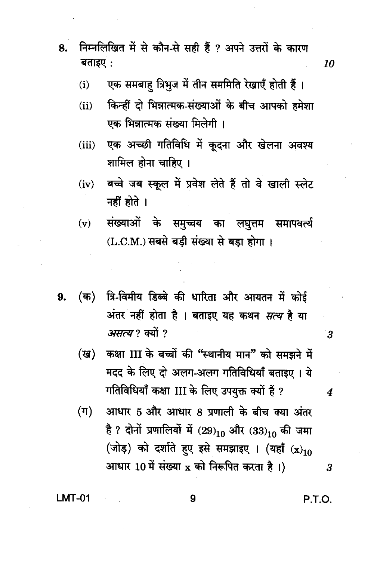- निम्नलिखित में से कौन-से सही हैं ? अपने उत्तरों के कारण 8. बताइए:
	- एक समबाह त्रिभुज में तीन सममिति रेखाएँ होती हैं।  $(i)$
	- किन्हीं दो भिन्नात्मक-संख्याओं के बीच आपको हमेशा  $(ii)$ एक भिन्नात्मक संख्या मिलेगी।
	- एक अच्छी गतिविधि में कूदना और खेलना अवश्य  $(iii)$ शामिल होना चाहिए ।
	- बच्चे जब स्कूल में प्रवेश लेते हैं तो वे खाली स्लेट  $(iv)$ नहीं होते ।
	- संख्याओं के समुच्चय का लघुत्तम समापवर्त्य  $(v)$ (L.C.M.) सबसे बड़ी संख्या से बड़ा होगा।
- त्रि-विमीय डिब्बे की धारिता और आयतन में कोई  $($ क) 9. अंतर नहीं होता है । बताइए यह कथन *सत्य* है या असत्य? क्यों ?
	- कक्षा III के बच्चों की "स्थानीय मान" को समझने में  $(\overline{u})$ मदद के लिए दो अलग-अलग गतिविधियाँ बताइए । ये गतिविधियाँ कक्षा III के लिए उपयुक्त क्यों हैं ?
	- आधार 5 और आधार 8 प्रणाली के बीच क्या अंतर  $(\pi)$ है ? दोनों प्रणालियों में (29)10 और (33)10 की जमा (जोड़) को दर्शाते हुए इसे समझाइए । (यहाँ (x)10 आधार 10 में संख्या x को निरूपित करता है।)

9

**LMT-01** 

P.T.O.

 $\overline{\mathbf{3}}$ 

 $\boldsymbol{4}$